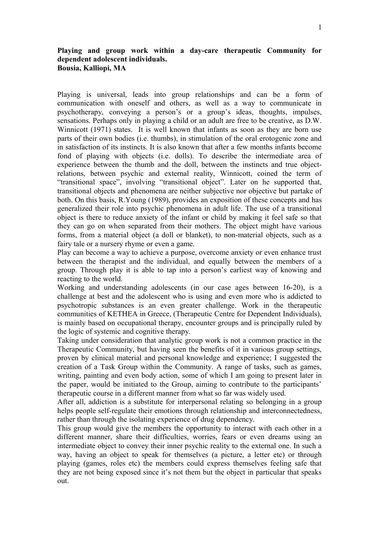## **Playing and group work within a day-care therapeutic Community for dependent adolescent individuals. Bousia, Kalliopi, MA**

Playing is universal, leads into group relationships and can be a form of communication with oneself and others, as well as a way to communicate in psychotherapy, conveying a person's or a group's ideas, thoughts, impulses, sensations. Perhaps only in playing a child or an adult are free to be creative, as D.W. Winnicott (1971) states. It is well known that infants as soon as they are born use parts of their own bodies (i.e. thumbs), in stimulation of the oral erotogenic zone and in satisfaction of its instincts. It is also known that after a few months infants become fond of playing with objects (i.e. dolls). To describe the intermediate area of experience between the thumb and the doll, between the instincts and true objectrelations, between psychic and external reality, Winnicott, coined the term of "transitional space", involving "transitional object". Later on he supported that, transitional objects and phenomena are neither subjective nor objective but partake of both. On this basis, R.Young (1989), provides an exposition of these concepts and has generalized their role into psychic phenomena in adult life. The use of a transitional object is there to reduce anxiety of the infant or child by making it feel safe so that they can go on when separated from their mothers. The object might have various forms, from a material object (a doll or blanket), to non-material objects, such as a fairy tale or a nursery rhyme or even a game.

Play can become a way to achieve a purpose, overcome anxiety or even enhance trust between the therapist and the individual, and equally between the members of a group. Through play it is able to tap into a person's earliest way of knowing and reacting to the world.

Working and understanding adolescents (in our case ages between 16-20), is a challenge at best and the adolescent who is using and even more who is addicted to psychotropic substances is an even greater challenge. Work in the therapeutic communities of KETHEA in Greece, (Therapeutic Centre for Dependent Individuals), is mainly based on occupational therapy, encounter groups and is principally ruled by the logic of systemic and cognitive therapy.

Taking under consideration that analytic group work is not a common practice in the Therapeutic Community, but having seen the benefits of it in various group settings, proven by clinical material and personal knowledge and experience; I suggested the creation of a Task Group within the Community. A range of tasks, such as games, writing, painting and even body action, some of which I am going to present later in the paper, would be initiated to the Group, aiming to contribute to the participants' therapeutic course in a different manner from what so far was widely used.

After all, addiction is a substitute for interpersonal relating so belonging in a group helps people self-regulate their emotions through relationship and interconnectedness, rather than through the isolating experience of drug dependency.

This group would give the members the opportunity to interact with each other in a different manner, share their difficulties, worries, fears or even dreams using an intermediate object to convey their inner psychic reality to the external one. In such a way, having an object to speak for themselves (a picture, a letter etc) or through playing (games, roles etc) the members could express themselves feeling safe that they are not being exposed since it's not them but the object in particular that speaks out.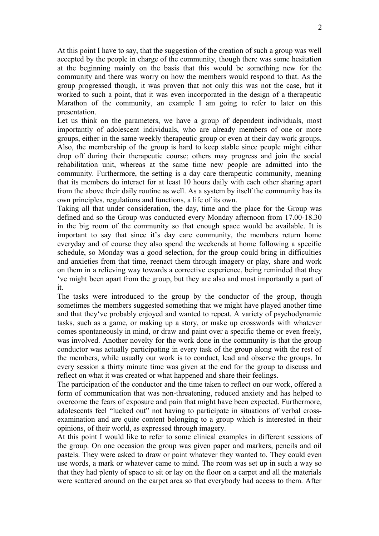At this point I have to say, that the suggestion of the creation of such a group was well accepted by the people in charge of the community, though there was some hesitation at the beginning mainly on the basis that this would be something new for the community and there was worry on how the members would respond to that. As the group progressed though, it was proven that not only this was not the case, but it worked to such a point, that it was even incorporated in the design of a therapeutic Marathon of the community, an example I am going to refer to later on this presentation.

Let us think on the parameters, we have a group of dependent individuals, most importantly of adolescent individuals, who are already members of one or more groups, either in the same weekly therapeutic group or even at their day work groups. Also, the membership of the group is hard to keep stable since people might either drop off during their therapeutic course; others may progress and join the social rehabilitation unit, whereas at the same time new people are admitted into the community. Furthermore, the setting is a day care therapeutic community, meaning that its members do interact for at least 10 hours daily with each other sharing apart from the above their daily routine as well. As a system by itself the community has its own principles, regulations and functions, a life of its own.

Taking all that under consideration, the day, time and the place for the Group was defined and so the Group was conducted every Monday afternoon from 17.00-18.30 in the big room of the community so that enough space would be available. It is important to say that since it's day care community, the members return home everyday and of course they also spend the weekends at home following a specific schedule, so Monday was a good selection, for the group could bring in difficulties and anxieties from that time, reenact them through imagery or play, share and work on them in a relieving way towards a corrective experience, being reminded that they 've might been apart from the group, but they are also and most importantly a part of it.

The tasks were introduced to the group by the conductor of the group, though sometimes the members suggested something that we might have played another time and that they've probably enjoyed and wanted to repeat. A variety of psychodynamic tasks, such as a game, or making up a story, or make up crosswords with whatever comes spontaneously in mind, or draw and paint over a specific theme or even freely, was involved. Another novelty for the work done in the community is that the group conductor was actually participating in every task of the group along with the rest of the members, while usually our work is to conduct, lead and observe the groups. In every session a thirty minute time was given at the end for the group to discuss and reflect on what it was created or what happened and share their feelings.

The participation of the conductor and the time taken to reflect on our work, offered a form of communication that was non-threatening, reduced anxiety and has helped to overcome the fears of exposure and pain that might have been expected. Furthermore, adolescents feel "lucked out" not having to participate in situations of verbal crossexamination and are quite content belonging to a group which is interested in their opinions, of their world, as expressed through imagery.

At this point I would like to refer to some clinical examples in different sessions of the group. On one occasion the group was given paper and markers, pencils and oil pastels. They were asked to draw or paint whatever they wanted to. They could even use words, a mark or whatever came to mind. The room was set up in such a way so that they had plenty of space to sit or lay on the floor on a carpet and all the materials were scattered around on the carpet area so that everybody had access to them. After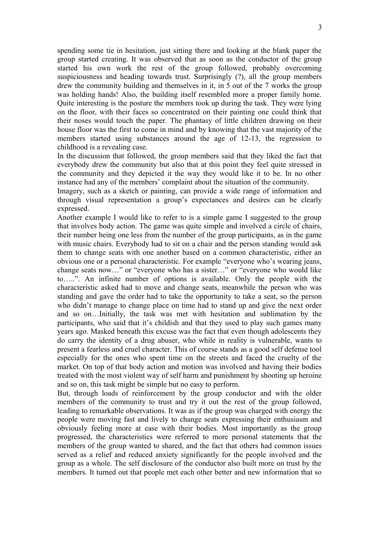spending some tie in hesitation, just sitting there and looking at the blank paper the group started creating. It was observed that as soon as the conductor of the group started his own work the rest of the group followed, probably overcoming suspiciousness and heading towards trust. Surprisingly (?), all the group members drew the community building and themselves in it, in 5 out of the 7 works the group was holding hands! Also, the building itself resembled more a proper family home. Quite interesting is the posture the members took up during the task. They were lying on the floor, with their faces so concentrated on their painting one could think that their noses would touch the paper. The phantasy of little children drawing on their house floor was the first to come in mind and by knowing that the vast majority of the members started using substances around the age of 12-13, the regression to childhood is a revealing case.

In the discussion that followed, the group members said that they liked the fact that everybody drew the community but also that at this point they feel quite stressed in the community and they depicted it the way they would like it to be. In no other instance had any of the members' complaint about the situation of the community.

Imagery, such as a sketch or painting, can provide a wide range of information and through visual representation a group's expectances and desires can be clearly expressed.

Another example I would like to refer to is a simple game I suggested to the group that involves body action. The game was quite simple and involved a circle of chairs, their number being one less from the number of the group participants, as in the game with music chairs. Everybody had to sit on a chair and the person standing would ask them to change seats with one another based on a common characteristic, either an obvious one or a personal characteristic. For example "everyone who's wearing jeans, change seats now…" or "everyone who has a sister…" or "everyone who would like to…..". An infinite number of options is available. Only the people with the characteristic asked had to move and change seats, meanwhile the person who was standing and gave the order had to take the opportunity to take a seat, so the person who didn't manage to change place on time had to stand up and give the next order and so on…Initially, the task was met with hesitation and sublimation by the participants, who said that it's childish and that they used to play such games many years ago. Masked beneath this excuse was the fact that even though adolescents they do carry the identity of a drug abuser, who while in reality is vulnerable, wants to present a fearless and cruel character. This of course stands as a good self defense tool especially for the ones who spent time on the streets and faced the cruelty of the market. On top of that body action and motion was involved and having their bodies treated with the most violent way of self harm and punishment by shooting up heroine and so on, this task might be simple but no easy to perform.

But, through loads of reinforcement by the group conductor and with the older members of the community to trust and try it out the rest of the group followed, leading to remarkable observations. It was as if the group was charged with energy the people were moving fast and lively to change seats expressing their enthusiasm and obviously feeling more at ease with their bodies. Most importantly as the group progressed, the characteristics were referred to more personal statements that the members of the group wanted to shared, and the fact that others had common issues served as a relief and reduced anxiety significantly for the people involved and the group as a whole. The self disclosure of the conductor also built more on trust by the members. It turned out that people met each other better and new information that so